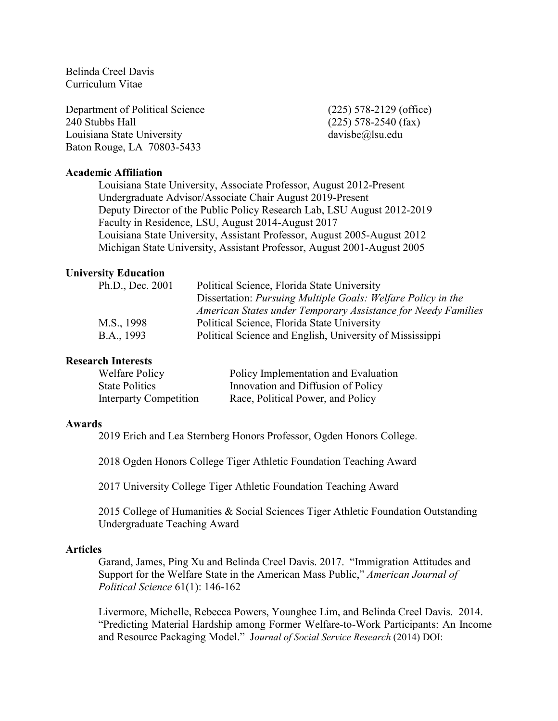Belinda Creel Davis Curriculum Vitae

Department of Political Science (225) 578-2129 (office) 240 Stubbs Hall (225) 578-2540 (fax) Louisiana State University davisbe@lsu.edu Baton Rouge, LA 70803-5433

## **Academic Affiliation**

Louisiana State University, Associate Professor, August 2012-Present Undergraduate Advisor/Associate Chair August 2019-Present Deputy Director of the Public Policy Research Lab, LSU August 2012-2019 Faculty in Residence, LSU, August 2014-August 2017 Louisiana State University, Assistant Professor, August 2005-August 2012 Michigan State University, Assistant Professor, August 2001-August 2005

#### **University Education**

| Ph.D., Dec. 2001 | Political Science, Florida State University                   |
|------------------|---------------------------------------------------------------|
|                  | Dissertation: Pursuing Multiple Goals: Welfare Policy in the  |
|                  | American States under Temporary Assistance for Needy Families |
| M.S., 1998       | Political Science, Florida State University                   |
| B.A., 1993       | Political Science and English, University of Mississippi      |

#### **Research Interests**

| Welfare Policy         | Policy Implementation and Evaluation |
|------------------------|--------------------------------------|
| <b>State Politics</b>  | Innovation and Diffusion of Policy   |
| Interparty Competition | Race, Political Power, and Policy    |

#### **Awards**

2019 Erich and Lea Sternberg Honors Professor, Ogden Honors College.

2018 Ogden Honors College Tiger Athletic Foundation Teaching Award

2017 University College Tiger Athletic Foundation Teaching Award

2015 College of Humanities & Social Sciences Tiger Athletic Foundation Outstanding Undergraduate Teaching Award

#### **Articles**

Garand, James, Ping Xu and Belinda Creel Davis. 2017. "Immigration Attitudes and Support for the Welfare State in the American Mass Public," *American Journal of Political Science* 61(1): 146-162

Livermore, Michelle, Rebecca Powers, Younghee Lim, and Belinda Creel Davis. 2014. "Predicting Material Hardship among Former Welfare-to-Work Participants: An Income and Resource Packaging Model." J*ournal of Social Service Research* (2014) DOI: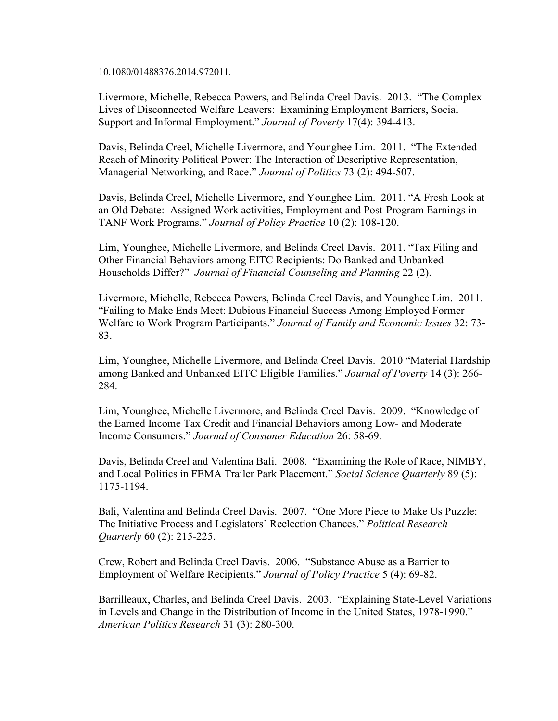10.1080/01488376.2014.972011*.*

Livermore, Michelle, Rebecca Powers, and Belinda Creel Davis. 2013. "The Complex Lives of Disconnected Welfare Leavers: Examining Employment Barriers, Social Support and Informal Employment." *Journal of Poverty* 17(4): 394-413.

Davis, Belinda Creel, Michelle Livermore, and Younghee Lim. 2011. "The Extended Reach of Minority Political Power: The Interaction of Descriptive Representation, Managerial Networking, and Race." *Journal of Politics* 73 (2): 494-507.

Davis, Belinda Creel, Michelle Livermore, and Younghee Lim. 2011. "A Fresh Look at an Old Debate: Assigned Work activities, Employment and Post-Program Earnings in TANF Work Programs." *Journal of Policy Practice* 10 (2): 108-120.

Lim, Younghee, Michelle Livermore, and Belinda Creel Davis. 2011. "Tax Filing and Other Financial Behaviors among EITC Recipients: Do Banked and Unbanked Households Differ?" *Journal of Financial Counseling and Planning* 22 (2).

Livermore, Michelle, Rebecca Powers, Belinda Creel Davis, and Younghee Lim. 2011. "Failing to Make Ends Meet: Dubious Financial Success Among Employed Former Welfare to Work Program Participants." *Journal of Family and Economic Issues* 32: 73- 83.

Lim, Younghee, Michelle Livermore, and Belinda Creel Davis. 2010 "Material Hardship among Banked and Unbanked EITC Eligible Families." *Journal of Poverty* 14 (3): 266- 284.

Lim, Younghee, Michelle Livermore, and Belinda Creel Davis. 2009. "Knowledge of the Earned Income Tax Credit and Financial Behaviors among Low- and Moderate Income Consumers." *Journal of Consumer Education* 26: 58-69.

Davis, Belinda Creel and Valentina Bali. 2008. "Examining the Role of Race, NIMBY, and Local Politics in FEMA Trailer Park Placement." *Social Science Quarterly* 89 (5): 1175-1194.

Bali, Valentina and Belinda Creel Davis. 2007. "One More Piece to Make Us Puzzle: The Initiative Process and Legislators' Reelection Chances." *Political Research Quarterly* 60 (2): 215-225.

Crew, Robert and Belinda Creel Davis. 2006. "Substance Abuse as a Barrier to Employment of Welfare Recipients." *Journal of Policy Practice* 5 (4): 69-82.

Barrilleaux, Charles, and Belinda Creel Davis. 2003. "Explaining State-Level Variations in Levels and Change in the Distribution of Income in the United States, 1978-1990." *American Politics Research* 31 (3): 280-300.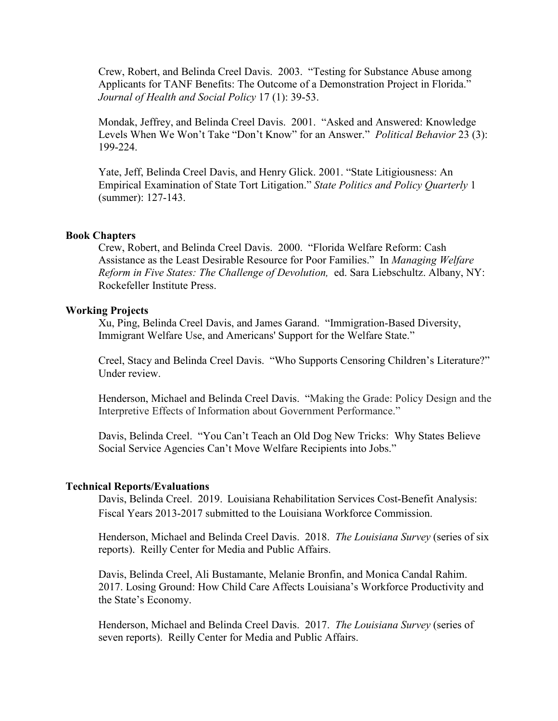Crew, Robert, and Belinda Creel Davis. 2003. "Testing for Substance Abuse among Applicants for TANF Benefits: The Outcome of a Demonstration Project in Florida." *Journal of Health and Social Policy* 17 (1): 39-53.

Mondak, Jeffrey, and Belinda Creel Davis. 2001. "Asked and Answered: Knowledge Levels When We Won't Take "Don't Know" for an Answer." *Political Behavior* 23 (3): 199-224.

Yate, Jeff, Belinda Creel Davis, and Henry Glick. 2001. "State Litigiousness: An Empirical Examination of State Tort Litigation." *State Politics and Policy Quarterly* 1 (summer): 127-143.

#### **Book Chapters**

Crew, Robert, and Belinda Creel Davis. 2000. "Florida Welfare Reform: Cash Assistance as the Least Desirable Resource for Poor Families." In *Managing Welfare Reform in Five States: The Challenge of Devolution,* ed. Sara Liebschultz. Albany, NY: Rockefeller Institute Press.

### **Working Projects**

Xu, Ping, Belinda Creel Davis, and James Garand. "Immigration-Based Diversity, Immigrant Welfare Use, and Americans' Support for the Welfare State."

Creel, Stacy and Belinda Creel Davis. "Who Supports Censoring Children's Literature?" Under review.

Henderson, Michael and Belinda Creel Davis. "Making the Grade: Policy Design and the Interpretive Effects of Information about Government Performance."

Davis, Belinda Creel. "You Can't Teach an Old Dog New Tricks: Why States Believe Social Service Agencies Can't Move Welfare Recipients into Jobs."

#### **Technical Reports/Evaluations**

Davis, Belinda Creel. 2019. Louisiana Rehabilitation Services Cost-Benefit Analysis: Fiscal Years 2013-2017 submitted to the Louisiana Workforce Commission.

Henderson, Michael and Belinda Creel Davis. 2018. *The Louisiana Survey* (series of six reports). Reilly Center for Media and Public Affairs.

Davis, Belinda Creel, Ali Bustamante, Melanie Bronfin, and Monica Candal Rahim. 2017. Losing Ground: How Child Care Affects Louisiana's Workforce Productivity and the State's Economy.

Henderson, Michael and Belinda Creel Davis. 2017. *The Louisiana Survey* (series of seven reports). Reilly Center for Media and Public Affairs.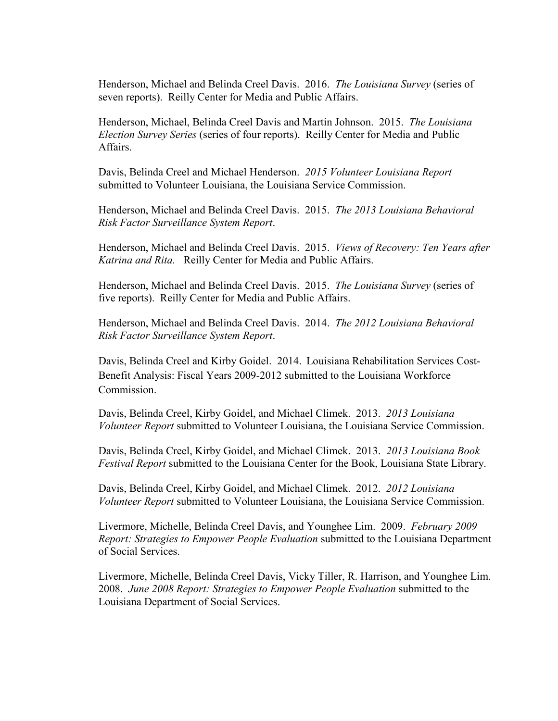Henderson, Michael and Belinda Creel Davis. 2016. *The Louisiana Survey* (series of seven reports). Reilly Center for Media and Public Affairs.

Henderson, Michael, Belinda Creel Davis and Martin Johnson. 2015. *The Louisiana Election Survey Series* (series of four reports). Reilly Center for Media and Public Affairs.

Davis, Belinda Creel and Michael Henderson. *2015 Volunteer Louisiana Report* submitted to Volunteer Louisiana, the Louisiana Service Commission.

Henderson, Michael and Belinda Creel Davis. 2015. *The 2013 Louisiana Behavioral Risk Factor Surveillance System Report*.

Henderson, Michael and Belinda Creel Davis. 2015. *Views of Recovery: Ten Years after Katrina and Rita.* Reilly Center for Media and Public Affairs.

Henderson, Michael and Belinda Creel Davis. 2015. *The Louisiana Survey* (series of five reports). Reilly Center for Media and Public Affairs.

Henderson, Michael and Belinda Creel Davis. 2014. *The 2012 Louisiana Behavioral Risk Factor Surveillance System Report*.

Davis, Belinda Creel and Kirby Goidel. 2014. Louisiana Rehabilitation Services Cost-Benefit Analysis: Fiscal Years 2009-2012 submitted to the Louisiana Workforce Commission.

Davis, Belinda Creel, Kirby Goidel, and Michael Climek. 2013. *2013 Louisiana Volunteer Report* submitted to Volunteer Louisiana, the Louisiana Service Commission.

Davis, Belinda Creel, Kirby Goidel, and Michael Climek. 2013. *2013 Louisiana Book Festival Report* submitted to the Louisiana Center for the Book, Louisiana State Library.

Davis, Belinda Creel, Kirby Goidel, and Michael Climek. 2012. *2012 Louisiana Volunteer Report* submitted to Volunteer Louisiana, the Louisiana Service Commission.

Livermore, Michelle, Belinda Creel Davis, and Younghee Lim. 2009. *February 2009 Report: Strategies to Empower People Evaluation* submitted to the Louisiana Department of Social Services.

Livermore, Michelle, Belinda Creel Davis, Vicky Tiller, R. Harrison, and Younghee Lim. 2008. *June 2008 Report: Strategies to Empower People Evaluation* submitted to the Louisiana Department of Social Services.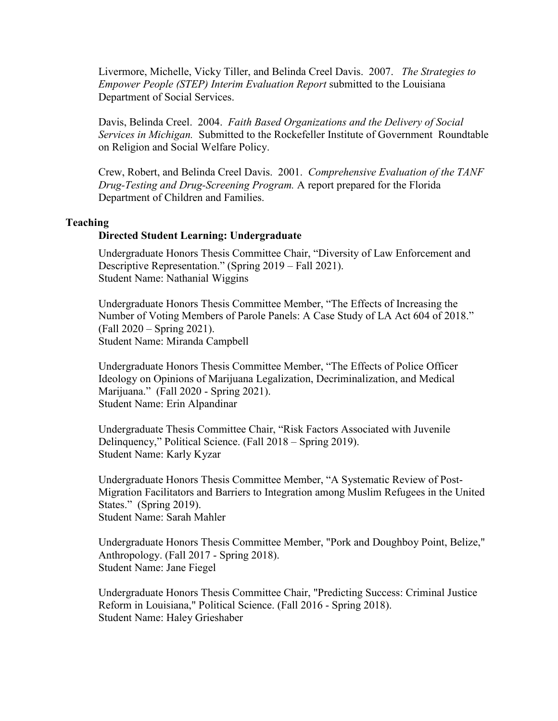Livermore, Michelle, Vicky Tiller, and Belinda Creel Davis. 2007. *The Strategies to Empower People (STEP) Interim Evaluation Report* submitted to the Louisiana Department of Social Services.

Davis, Belinda Creel. 2004. *Faith Based Organizations and the Delivery of Social Services in Michigan.* Submitted to the Rockefeller Institute of Government Roundtable on Religion and Social Welfare Policy.

Crew, Robert, and Belinda Creel Davis. 2001. *Comprehensive Evaluation of the TANF Drug-Testing and Drug-Screening Program.* A report prepared for the Florida Department of Children and Families.

#### **Teaching**

## **Directed Student Learning: Undergraduate**

Undergraduate Honors Thesis Committee Chair, "Diversity of Law Enforcement and Descriptive Representation." (Spring 2019 – Fall 2021). Student Name: Nathanial Wiggins

Undergraduate Honors Thesis Committee Member, "The Effects of Increasing the Number of Voting Members of Parole Panels: A Case Study of LA Act 604 of 2018." (Fall 2020 – Spring 2021). Student Name: Miranda Campbell

Undergraduate Honors Thesis Committee Member, "The Effects of Police Officer Ideology on Opinions of Marijuana Legalization, Decriminalization, and Medical Marijuana." (Fall 2020 - Spring 2021). Student Name: Erin Alpandinar

Undergraduate Thesis Committee Chair, "Risk Factors Associated with Juvenile Delinquency," Political Science. (Fall 2018 – Spring 2019). Student Name: Karly Kyzar

Undergraduate Honors Thesis Committee Member, "A Systematic Review of Post-Migration Facilitators and Barriers to Integration among Muslim Refugees in the United States." (Spring 2019). Student Name: Sarah Mahler

Undergraduate Honors Thesis Committee Member, "Pork and Doughboy Point, Belize," Anthropology. (Fall 2017 - Spring 2018). Student Name: Jane Fiegel

Undergraduate Honors Thesis Committee Chair, "Predicting Success: Criminal Justice Reform in Louisiana," Political Science. (Fall 2016 - Spring 2018). Student Name: Haley Grieshaber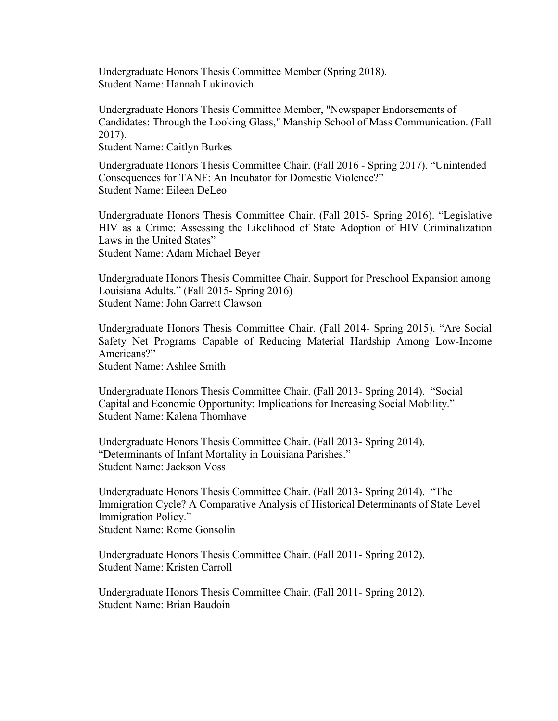Undergraduate Honors Thesis Committee Member (Spring 2018). Student Name: Hannah Lukinovich

Undergraduate Honors Thesis Committee Member, "Newspaper Endorsements of Candidates: Through the Looking Glass," Manship School of Mass Communication. (Fall 2017).

Student Name: Caitlyn Burkes

Undergraduate Honors Thesis Committee Chair. (Fall 2016 - Spring 2017). "Unintended Consequences for TANF: An Incubator for Domestic Violence?" Student Name: Eileen DeLeo

Undergraduate Honors Thesis Committee Chair. (Fall 2015- Spring 2016). "Legislative HIV as a Crime: Assessing the Likelihood of State Adoption of HIV Criminalization Laws in the United States" Student Name: Adam Michael Beyer

Undergraduate Honors Thesis Committee Chair. Support for Preschool Expansion among Louisiana Adults." (Fall 2015- Spring 2016) Student Name: John Garrett Clawson

Undergraduate Honors Thesis Committee Chair. (Fall 2014- Spring 2015). "Are Social Safety Net Programs Capable of Reducing Material Hardship Among Low-Income Americans?"

Student Name: Ashlee Smith

Undergraduate Honors Thesis Committee Chair. (Fall 2013- Spring 2014). "Social Capital and Economic Opportunity: Implications for Increasing Social Mobility." Student Name: Kalena Thomhave

Undergraduate Honors Thesis Committee Chair. (Fall 2013- Spring 2014). "Determinants of Infant Mortality in Louisiana Parishes." Student Name: Jackson Voss

Undergraduate Honors Thesis Committee Chair. (Fall 2013- Spring 2014). "The Immigration Cycle? A Comparative Analysis of Historical Determinants of State Level Immigration Policy." Student Name: Rome Gonsolin

Undergraduate Honors Thesis Committee Chair. (Fall 2011- Spring 2012). Student Name: Kristen Carroll

Undergraduate Honors Thesis Committee Chair. (Fall 2011- Spring 2012). Student Name: Brian Baudoin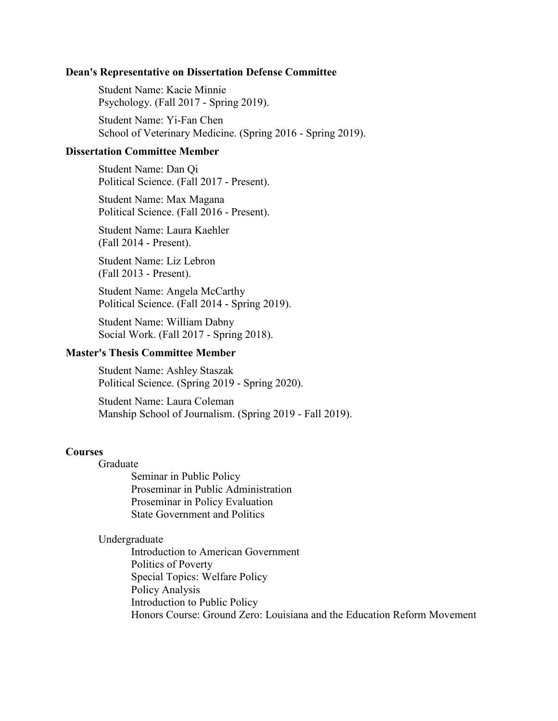#### **Dean's Representative on Dissertation Defense Committee**

Student Name: Kacie Minnie Psychology. (Fall 2017 - Spring 2019).

Student Name: Yi-Fan Chen School of Veterinary Medicine. (Spring 2016 - Spring 2019).

## **Dissertation Committee Member**

Student Name: Dan Qi Political Science. (Fall 2017 - Present).

Student Name: Max Magana Political Science. (Fall 2016 - Present).

Student Name: Laura Kaehler (Fall 2014 - Present).

Student Name: Liz Lebron (Fall 2013 - Present).

Student Name: Angela McCarthy Political Science. (Fall 2014 - Spring 2019).

Student Name: William Dabny Social Work. (Fall 2017 - Spring 2018).

# **Master's Thesis Committee Member**

Student Name: Ashley Staszak Political Science. (Spring 2019 - Spring 2020).

Student Name: Laura Coleman Manship School of Journalism. (Spring 2019 - Fall 2019).

#### **Courses**

Graduate

Seminar in Public Policy Proseminar in Public Administration Proseminar in Policy Evaluation State Government and Politics

Undergraduate

Introduction to American Government Politics of Poverty Special Topics: Welfare Policy Policy Analysis Introduction to Public Policy Honors Course: Ground Zero: Louisiana and the Education Reform Movement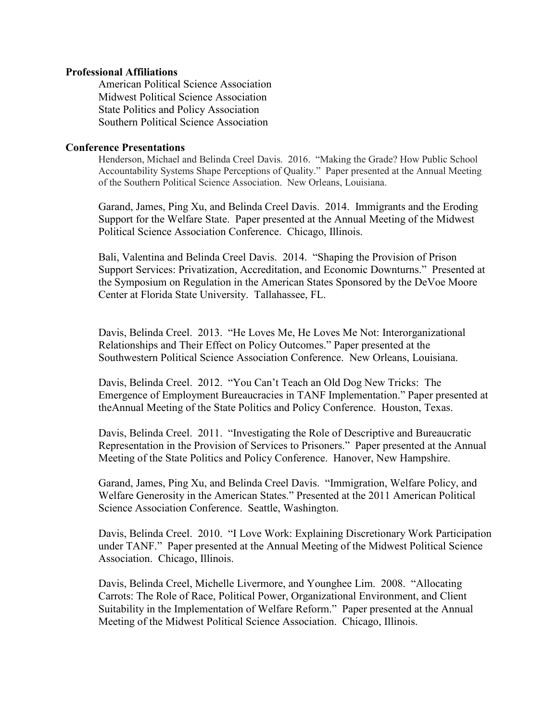#### **Professional Affiliations**

American Political Science Association Midwest Political Science Association State Politics and Policy Association Southern Political Science Association

#### **Conference Presentations**

Henderson, Michael and Belinda Creel Davis. 2016. "Making the Grade? How Public School Accountability Systems Shape Perceptions of Quality." Paper presented at the Annual Meeting of the Southern Political Science Association. New Orleans, Louisiana.

Garand, James, Ping Xu, and Belinda Creel Davis. 2014. Immigrants and the Eroding Support for the Welfare State. Paper presented at the Annual Meeting of the Midwest Political Science Association Conference. Chicago, Illinois.

Bali, Valentina and Belinda Creel Davis. 2014. "Shaping the Provision of Prison Support Services: Privatization, Accreditation, and Economic Downturns." Presented at the Symposium on Regulation in the American States Sponsored by the DeVoe Moore Center at Florida State University. Tallahassee, FL.

Davis, Belinda Creel. 2013. "He Loves Me, He Loves Me Not: Interorganizational Relationships and Their Effect on Policy Outcomes." Paper presented at the Southwestern Political Science Association Conference. New Orleans, Louisiana.

Davis, Belinda Creel. 2012. "You Can't Teach an Old Dog New Tricks: The Emergence of Employment Bureaucracies in TANF Implementation." Paper presented at theAnnual Meeting of the State Politics and Policy Conference. Houston, Texas.

Davis, Belinda Creel. 2011. "Investigating the Role of Descriptive and Bureaucratic Representation in the Provision of Services to Prisoners." Paper presented at the Annual Meeting of the State Politics and Policy Conference. Hanover, New Hampshire.

Garand, James, Ping Xu, and Belinda Creel Davis. "Immigration, Welfare Policy, and Welfare Generosity in the American States." Presented at the 2011 American Political Science Association Conference. Seattle, Washington.

Davis, Belinda Creel. 2010. "I Love Work: Explaining Discretionary Work Participation under TANF." Paper presented at the Annual Meeting of the Midwest Political Science Association. Chicago, Illinois.

Davis, Belinda Creel, Michelle Livermore, and Younghee Lim. 2008. "Allocating Carrots: The Role of Race, Political Power, Organizational Environment, and Client Suitability in the Implementation of Welfare Reform." Paper presented at the Annual Meeting of the Midwest Political Science Association. Chicago, Illinois.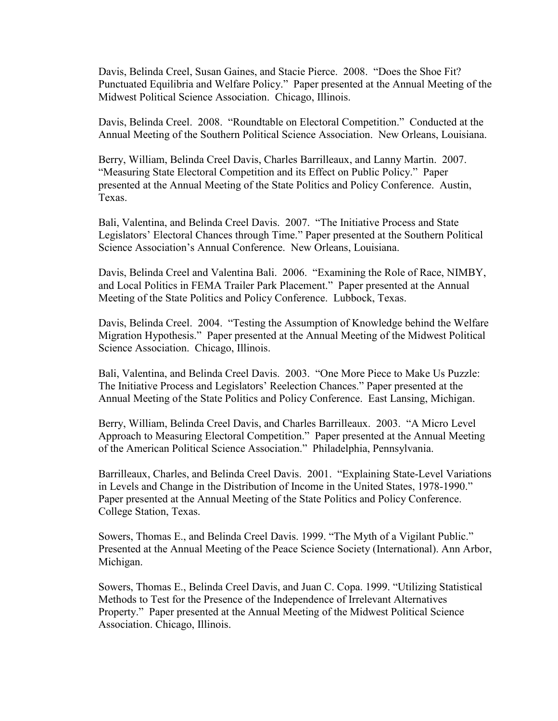Davis, Belinda Creel, Susan Gaines, and Stacie Pierce. 2008. "Does the Shoe Fit? Punctuated Equilibria and Welfare Policy." Paper presented at the Annual Meeting of the Midwest Political Science Association. Chicago, Illinois.

Davis, Belinda Creel. 2008. "Roundtable on Electoral Competition." Conducted at the Annual Meeting of the Southern Political Science Association. New Orleans, Louisiana.

Berry, William, Belinda Creel Davis, Charles Barrilleaux, and Lanny Martin. 2007. "Measuring State Electoral Competition and its Effect on Public Policy." Paper presented at the Annual Meeting of the State Politics and Policy Conference. Austin, Texas.

Bali, Valentina, and Belinda Creel Davis. 2007. "The Initiative Process and State Legislators' Electoral Chances through Time." Paper presented at the Southern Political Science Association's Annual Conference. New Orleans, Louisiana.

Davis, Belinda Creel and Valentina Bali. 2006. "Examining the Role of Race, NIMBY, and Local Politics in FEMA Trailer Park Placement." Paper presented at the Annual Meeting of the State Politics and Policy Conference. Lubbock, Texas.

Davis, Belinda Creel. 2004. "Testing the Assumption of Knowledge behind the Welfare Migration Hypothesis." Paper presented at the Annual Meeting of the Midwest Political Science Association. Chicago, Illinois.

Bali, Valentina, and Belinda Creel Davis. 2003. "One More Piece to Make Us Puzzle: The Initiative Process and Legislators' Reelection Chances." Paper presented at the Annual Meeting of the State Politics and Policy Conference. East Lansing, Michigan.

Berry, William, Belinda Creel Davis, and Charles Barrilleaux. 2003. "A Micro Level Approach to Measuring Electoral Competition." Paper presented at the Annual Meeting of the American Political Science Association." Philadelphia, Pennsylvania.

Barrilleaux, Charles, and Belinda Creel Davis. 2001. "Explaining State-Level Variations in Levels and Change in the Distribution of Income in the United States, 1978-1990." Paper presented at the Annual Meeting of the State Politics and Policy Conference. College Station, Texas.

Sowers, Thomas E., and Belinda Creel Davis. 1999. "The Myth of a Vigilant Public." Presented at the Annual Meeting of the Peace Science Society (International). Ann Arbor, Michigan.

Sowers, Thomas E., Belinda Creel Davis, and Juan C. Copa. 1999. "Utilizing Statistical Methods to Test for the Presence of the Independence of Irrelevant Alternatives Property." Paper presented at the Annual Meeting of the Midwest Political Science Association. Chicago, Illinois.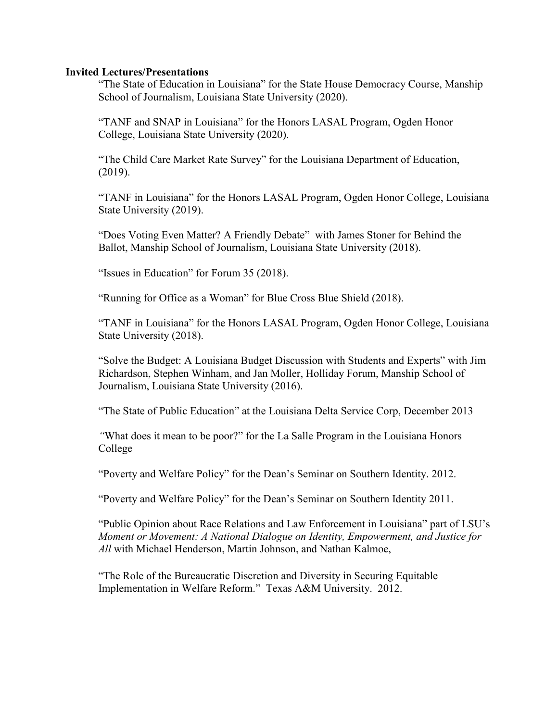### **Invited Lectures/Presentations**

"The State of Education in Louisiana" for the State House Democracy Course, Manship School of Journalism, Louisiana State University (2020).

"TANF and SNAP in Louisiana" for the Honors LASAL Program, Ogden Honor College, Louisiana State University (2020).

"The Child Care Market Rate Survey" for the Louisiana Department of Education, (2019).

"TANF in Louisiana" for the Honors LASAL Program, Ogden Honor College, Louisiana State University (2019).

"Does Voting Even Matter? A Friendly Debate" with James Stoner for Behind the Ballot, Manship School of Journalism, Louisiana State University (2018).

"Issues in Education" for Forum 35 (2018).

"Running for Office as a Woman" for Blue Cross Blue Shield (2018).

"TANF in Louisiana" for the Honors LASAL Program, Ogden Honor College, Louisiana State University (2018).

"Solve the Budget: A Louisiana Budget Discussion with Students and Experts" with Jim Richardson, Stephen Winham, and Jan Moller, Holliday Forum, Manship School of Journalism, Louisiana State University (2016).

"The State of Public Education" at the Louisiana Delta Service Corp, December 2013

*"*What does it mean to be poor?" for the La Salle Program in the Louisiana Honors College

"Poverty and Welfare Policy" for the Dean's Seminar on Southern Identity. 2012.

"Poverty and Welfare Policy" for the Dean's Seminar on Southern Identity 2011.

"Public Opinion about Race Relations and Law Enforcement in Louisiana" part of LSU's *Moment or Movement: A National Dialogue on Identity, Empowerment, and Justice for All* with Michael Henderson, Martin Johnson, and Nathan Kalmoe,

"The Role of the Bureaucratic Discretion and Diversity in Securing Equitable Implementation in Welfare Reform." Texas A&M University. 2012.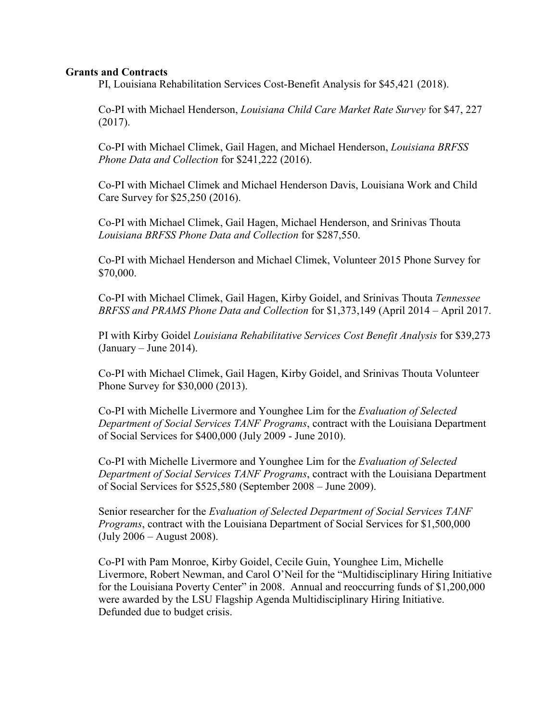## **Grants and Contracts**

PI, Louisiana Rehabilitation Services Cost-Benefit Analysis for \$45,421 (2018).

Co-PI with Michael Henderson, *Louisiana Child Care Market Rate Survey* for \$47, 227 (2017).

Co-PI with Michael Climek, Gail Hagen, and Michael Henderson, *Louisiana BRFSS Phone Data and Collection* for \$241,222 (2016).

Co-PI with Michael Climek and Michael Henderson Davis, Louisiana Work and Child Care Survey for \$25,250 (2016).

Co-PI with Michael Climek, Gail Hagen, Michael Henderson, and Srinivas Thouta *Louisiana BRFSS Phone Data and Collection* for \$287,550.

Co-PI with Michael Henderson and Michael Climek, Volunteer 2015 Phone Survey for \$70,000.

Co-PI with Michael Climek, Gail Hagen, Kirby Goidel, and Srinivas Thouta *Tennessee BRFSS and PRAMS Phone Data and Collection* for \$1,373,149 (April 2014 – April 2017.

PI with Kirby Goidel *Louisiana Rehabilitative Services Cost Benefit Analysis* for \$39,273  $(January - June 2014)$ .

Co-PI with Michael Climek, Gail Hagen, Kirby Goidel, and Srinivas Thouta Volunteer Phone Survey for \$30,000 (2013).

Co-PI with Michelle Livermore and Younghee Lim for the *Evaluation of Selected Department of Social Services TANF Programs*, contract with the Louisiana Department of Social Services for \$400,000 (July 2009 - June 2010).

Co-PI with Michelle Livermore and Younghee Lim for the *Evaluation of Selected Department of Social Services TANF Programs*, contract with the Louisiana Department of Social Services for \$525,580 (September 2008 – June 2009).

Senior researcher for the *Evaluation of Selected Department of Social Services TANF Programs*, contract with the Louisiana Department of Social Services for \$1,500,000 (July 2006 – August 2008).

Co-PI with Pam Monroe, Kirby Goidel, Cecile Guin, Younghee Lim, Michelle Livermore, Robert Newman, and Carol O'Neil for the "Multidisciplinary Hiring Initiative for the Louisiana Poverty Center" in 2008. Annual and reoccurring funds of \$1,200,000 were awarded by the LSU Flagship Agenda Multidisciplinary Hiring Initiative. Defunded due to budget crisis.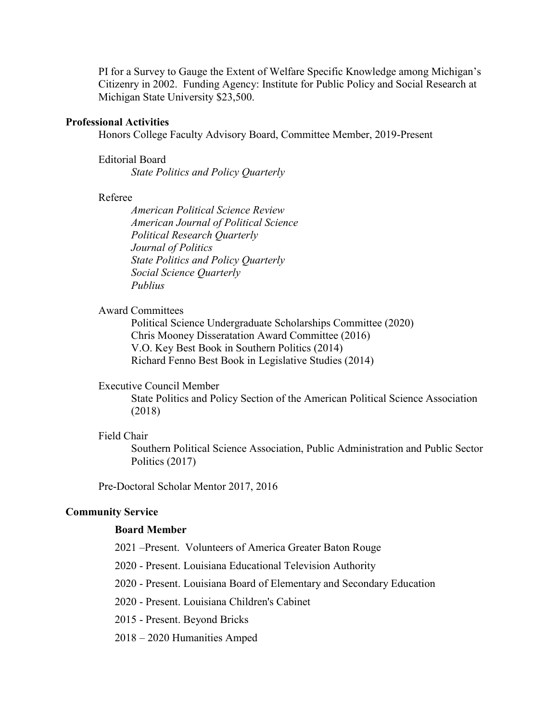PI for a Survey to Gauge the Extent of Welfare Specific Knowledge among Michigan's Citizenry in 2002. Funding Agency: Institute for Public Policy and Social Research at Michigan State University \$23,500.

### **Professional Activities**

Honors College Faculty Advisory Board, Committee Member, 2019-Present

Editorial Board

*State Politics and Policy Quarterly*

## Referee

*American Political Science Review American Journal of Political Science Political Research Quarterly Journal of Politics State Politics and Policy Quarterly Social Science Quarterly Publius*

### Award Committees

Political Science Undergraduate Scholarships Committee (2020) Chris Mooney Disseratation Award Committee (2016) V.O. Key Best Book in Southern Politics (2014) Richard Fenno Best Book in Legislative Studies (2014)

# Executive Council Member

State Politics and Policy Section of the American Political Science Association (2018)

## Field Chair

Southern Political Science Association, Public Administration and Public Sector Politics (2017)

Pre-Doctoral Scholar Mentor 2017, 2016

### **Community Service**

#### **Board Member**

- 2021 –Present. Volunteers of America Greater Baton Rouge
- 2020 Present. Louisiana Educational Television Authority
- 2020 Present. Louisiana Board of Elementary and Secondary Education
- 2020 Present. Louisiana Children's Cabinet
- 2015 Present. Beyond Bricks
- 2018 2020 Humanities Amped